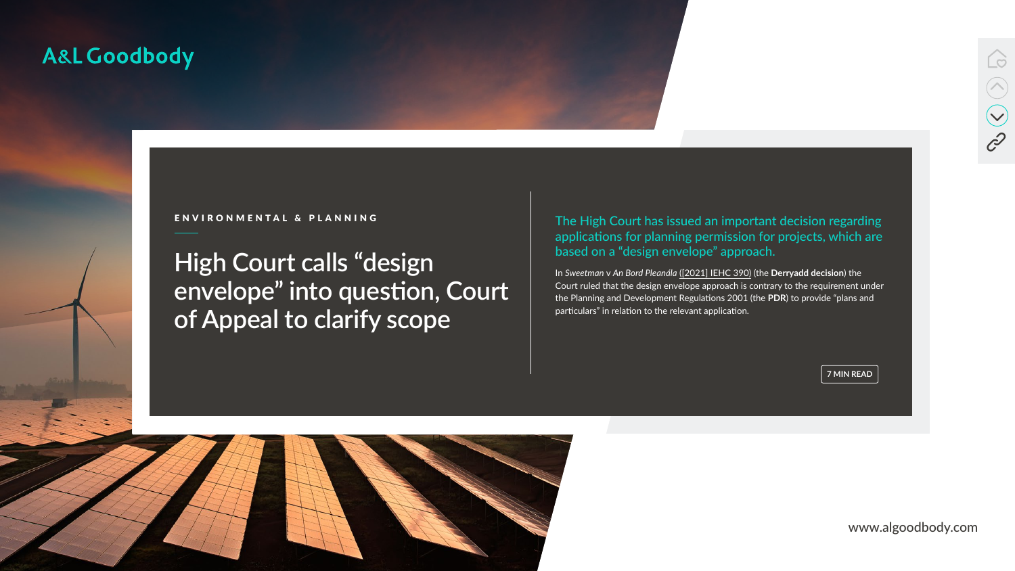www.algoodbody.com



### A&L Goodbody

# **High Court calls "design envelope" into question, Court of Appeal to clarify scope**

### ENVIRONMENTAL & PLANNING<br>
The High Court has issued an important decision regarding applications for planning permission for projects, which are based on a "design envelope" approach.

In *Sweetman* v *An Bord Pleanála* [\(\[2021\] IEHC 390\)](https://www.courts.ie/view/judgments/47b71140-5825-48ee-9d35-5e3ec694af6a/62c07669-d64d-4478-a4dd-6df05d2ad306/2021_IEHC_390.pdf/pdf) (the **Derryadd decision**) the Court ruled that the design envelope approach is contrary to the requirement under the Planning and Development Regulations 2001 (the **PDR**) to provide "plans and particulars" in relation to the relevant application.

**7 MIN READ**

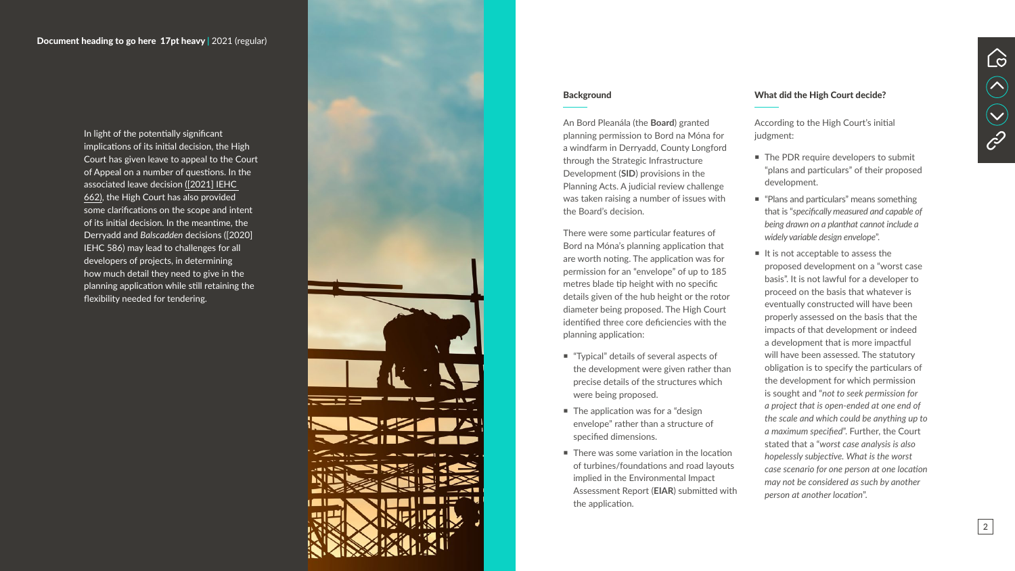An Bord Pleanála (the **Board**) granted planning permission to Bord na Móna for a windfarm in Derryadd, County Longford through the Strategic Infrastructure Development (**SID**) provisions in the Planning Acts. A judicial review challenge was taken raising a number of issues with the Board's decision.

There were some particular features of Bord na Móna's planning application that are worth noting. The application was for permission for an "envelope" of up to 185 metres blade tip height with no specific details given of the hub height or the rotor diameter being proposed. The High Court identified three core deficiencies with the planning application:

- **Typical**" details of several aspects of the development were given rather than precise details of the structures which were being proposed.
- $\blacksquare$  The application was for a "design envelope" rather than a structure of specified dimensions.
- $\blacksquare$  There was some variation in the location of turbines/foundations and road layouts implied in the Environmental Impact Assessment Report (**EIAR**) submitted with the application.

#### What did the High Court decide?

- The PDR require developers to submit "plans and particulars" of their proposed development.
- "Plans and particulars" means something that is "*specifically measured and capable of being drawn on a planthat cannot include a widely variable design envelope*".
- $\blacksquare$  It is not acceptable to assess the proposed development on a "worst case basis". It is not lawful for a developer to proceed on the basis that whatever is eventually constructed will have been properly assessed on the basis that the impacts of that development or indeed a development that is more impactful will have been assessed. The statutory obligation is to specify the particulars of the development for which permission is sought and "*not to seek permission for a project that is open-ended at one end of the scale and which could be anything up to a maximum specified*". Further, the Court stated that a "*worst case analysis is also hopelessly subjective. What is the worst case scenario for one person at one location may not be considered as such by another person at another location*".



According to the High Court's initial judgment:



#### **Document heading to go here 17pt heavy** | 2021 (regular)

In light of the potentially significant implications of its initial decision, the High Court has given leave to appeal to the Court of Appeal on a number of questions. In the associated leave decision [\(\[2021\] IEHC](https://www.courts.ie/view/judgments/3c25b060-c48d-4fac-8bff-1b2629d34264/9dd48022-0b59-4254-a65c-786535aa1400/2021_IEHC_662.pdf/pdf)  [662\)](https://www.courts.ie/view/judgments/3c25b060-c48d-4fac-8bff-1b2629d34264/9dd48022-0b59-4254-a65c-786535aa1400/2021_IEHC_662.pdf/pdf), the High Court has also provided some clarifications on the scope and intent of its initial decision. In the meantime, the Derryadd and *Balscadden* decisions [\(\[2020\]](https://www.courts.ie/view/judgments/5cd3ccef-f0e8-4066-9b5e-7cbdbc535146/0b3fa6d5-1b5d-4b3e-a686-646a82e24014/2020_IEHC_586.pdf/pdf)  [IEHC 586\)](https://www.courts.ie/view/judgments/5cd3ccef-f0e8-4066-9b5e-7cbdbc535146/0b3fa6d5-1b5d-4b3e-a686-646a82e24014/2020_IEHC_586.pdf/pdf) may lead to challenges for all developers of projects, in determining how much detail they need to give in the planning application while still retaining the flexibility needed for tendering.



#### **Background**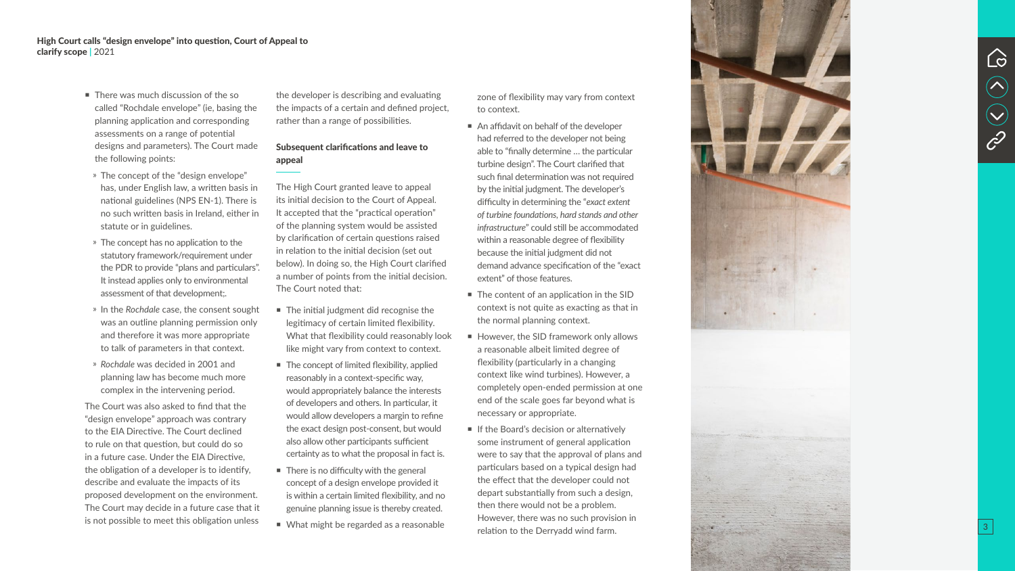- There was much discussion of the so called "Rochdale envelope" (ie, basing the planning application and corresponding assessments on a range of potential designs and parameters). The Court made the following points:
- » The concept of the "design envelope" has, under English law, a written basis in national guidelines (NPS EN-1). There is no such written basis in Ireland, either in statute or in guidelines.
- » The concept has no application to the statutory framework/requirement under the PDR to provide "plans and particulars". It instead applies only to environmental assessment of that development;.
- ҉ In the *Rochdale* case, the consent sought was an outline planning permission only and therefore it was more appropriate to talk of parameters in that context.
- ҉ *Rochdale* was decided in 2001 and planning law has become much more complex in the intervening period.

The Court was also asked to find that the "design envelope" approach was contrary to the EIA Directive. The Court declined to rule on that question, but could do so in a future case. Under the EIA Directive, the obligation of a developer is to identify, describe and evaluate the impacts of its proposed development on the environment. The Court may decide in a future case that it is not possible to meet this obligation unless

the developer is describing and evaluating the impacts of a certain and defined project, rather than a range of possibilities.

#### Subsequent clarifications and leave to appeal

■ An affidavit on behalf of the developer had referred to the developer not being able to "finally determine … the particular turbine design". The Court clarified that such final determination was not required by the initial judgment. The developer's difficulty in determining the "*exact extent of turbine foundations, hard stands and other infrastructure*" could still be accommodated within a reasonable degree of flexibility because the initial judgment did not demand advance specification of the "exact extent" of those features.

■ The content of an application in the SID context is not quite as exacting as that in the normal planning context.

The High Court granted leave to appeal its initial decision to the Court of Appeal. It accepted that the "practical operation" of the planning system would be assisted by clarification of certain questions raised in relation to the initial decision (set out below). In doing so, the High Court clarified a number of points from the initial decision. The Court noted that:

- The initial judgment did recognise the legitimacy of certain limited flexibility. What that flexibility could reasonably look like might vary from context to context.
- $\blacksquare$  The concept of limited flexibility, applied reasonably in a context-specific way, would appropriately balance the interests of developers and others. In particular, it would allow developers a margin to refine the exact design post-consent, but would also allow other participants sufficient certainty as to what the proposal in fact is.
- There is no difficulty with the general concept of a design envelope provided it is within a certain limited flexibility, and no genuine planning issue is thereby created.
- What might be regarded as a reasonable

■ However, the SID framework only allows a reasonable albeit limited degree of flexibility (particularly in a changing context like wind turbines). However, a completely open-ended permission at one end of the scale goes far beyond what is necessary or appropriate.

 $\blacksquare$  If the Board's decision or alternatively some instrument of general application were to say that the approval of plans and particulars based on a typical design had the effect that the developer could not depart substantially from such a design, then there would not be a problem. However, there was no such provision in relation to the Derryadd wind farm.





zone of flexibility may vary from context to context.

High Court calls "design envelope" into question, Court of Appeal to clarify scope **|** 2021

3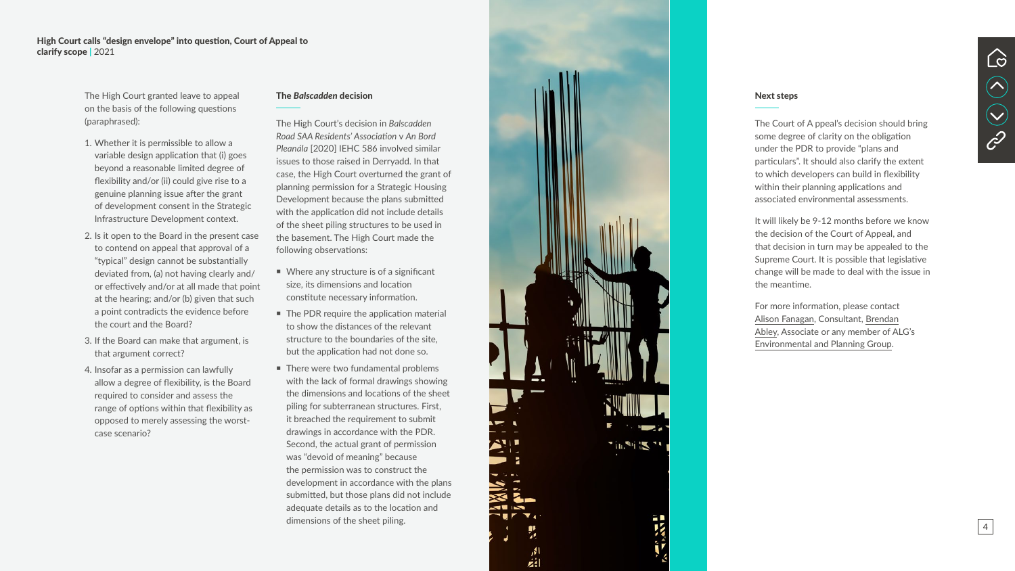

The High Court granted leave to appeal on the basis of the following questions (paraphrased):

- 1. Whether it is permissible to allow a variable design application that (i) goes beyond a reasonable limited degree of flexibility and/or (ii) could give rise to a genuine planning issue after the grant of development consent in the Strategic Infrastructure Development context.
- 2. Is it open to the Board in the present case to contend on appeal that approval of a "typical" design cannot be substantially deviated from, (a) not having clearly and/ or effectively and/or at all made that point at the hearing; and/or (b) given that such a point contradicts the evidence before the court and the Board?
- 3. If the Board can make that argument, is that argument correct?
- 4. Insofar as a permission can lawfully allow a degree of flexibility, is the Board required to consider and assess the range of options within that flexibility as opposed to merely assessing the worstcase scenario?

#### The *Balscadden* decision

- Where any structure is of a significant size, its dimensions and location constitute necessary information.
- **The PDR require the application material** to show the distances of the relevant structure to the boundaries of the site, but the application had not done so.
- **There were two fundamental problems** with the lack of formal drawings showing the dimensions and locations of the sheet piling for subterranean structures. First, it breached the requirement to submit drawings in accordance with the PDR. Second, the actual grant of permission was "devoid of meaning" because the permission was to construct the development in accordance with the plans submitted, but those plans did not include adequate details as to the location and dimensions of the sheet piling.



The High Court's decision in *Balscadden Road SAA Residents' Association* v *An Bord Pleanála* [2020] IEHC 586 involved similar issues to those raised in Derryadd. In that case, the High Court overturned the grant of planning permission for a Strategic Housing Development because the plans submitted with the application did not include details of the sheet piling structures to be used in the basement. The High Court made the following observations:

#### Next steps

The Court of A ppeal's decision should bring some degree of clarity on the obligation under the PDR to provide "plans and particulars". It should also clarify the extent to which developers can build in flexibility within their planning applications and associated environmental assessments.

It will likely be 9-12 months before we know the decision of the Court of Appeal, and that decision in turn may be appealed to the Supreme Court. It is possible that legislative change will be made to deal with the issue in the meantime.

For more information, please contact [Alison Fanagan](https://www.algoodbody.com/our-people/alison-fanagan), Consultant, [Brendan](https://www.algoodbody.com/our-people/brendan-abley) [Abley,](https://www.algoodbody.com/our-people/brendan-abley) Associate or any member of [ALG's](https://www.algoodbody.com/services/environmental-planning)  [Environmental and Planning Group](https://www.algoodbody.com/services/environmental-planning).